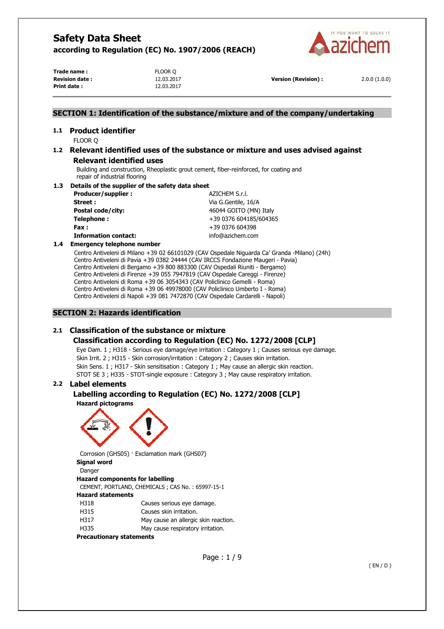

**Trade name :** FLOOR Q **Revision date :** 12.03.2017 **Version (Revision) :** 2.0.0 (1.0.0) **Print date :** 12.03.2017

## **SECTION 1: Identification of the substance/mixture and of the company/undertaking**

# **1.1 Product identifier**

FLOOR Q

# **1.2 Relevant identified uses of the substance or mixture and uses advised against Relevant identified uses**

Building and construction, Rheoplastic grout cement, fiber-reinforced, for coating and repair of industrial flooring

### **1.3 Details of the supplier of the safety data sheet**

| Producer/supplier:          | AZICHEM S.r.l.         |
|-----------------------------|------------------------|
| Street:                     | Via G.Gentile, 16/A    |
| Postal code/city:           | 46044 GOITO (MN) Italy |
| Telephone:                  | +39 0376 604185/604365 |
| Fax:                        | +39 0376 604398        |
| <b>Information contact:</b> | info@azichem.com       |
| Emarganar talanhana numbar  |                        |

# **1.4 Emergency telephone number**

Centro Antiveleni di Milano +39 02 66101029 (CAV Ospedale Niguarda Ca' Granda -Milano) (24h) Centro Antiveleni di Pavia +39 0382 24444 (CAV IRCCS Fondazione Maugeri - Pavia) Centro Antiveleni di Bergamo +39 800 883300 (CAV Ospedali Riuniti - Bergamo) Centro Antiveleni di Firenze +39 055 7947819 (CAV Ospedale Careggi - Firenze) Centro Antiveleni di Roma +39 06 3054343 (CAV Policlinico Gemelli - Roma) Centro Antiveleni di Roma +39 06 49978000 (CAV Policlinico Umberto I - Roma) Centro Antiveleni di Napoli +39 081 7472870 (CAV Ospedale Cardarelli - Napoli)

# **SECTION 2: Hazards identification**

# **2.1 Classification of the substance or mixture**

# **Classification according to Regulation (EC) No. 1272/2008 [CLP]**

Eye Dam. 1 ; H318 - Serious eye damage/eye irritation : Category 1 ; Causes serious eye damage. Skin Irrit. 2 ; H315 - Skin corrosion/irritation : Category 2 ; Causes skin irritation. Skin Sens. 1 ; H317 - Skin sensitisation : Category 1 ; May cause an allergic skin reaction. STOT SE 3 ; H335 - STOT-single exposure : Category 3 ; May cause respiratory irritation.

# **2.2 Label elements**

# **Labelling according to Regulation (EC) No. 1272/2008 [CLP]**

**Hazard pictograms** 



Corrosion (GHS05) · Exclamation mark (GHS07) **Signal word**  Danger

# **Hazard components for labelling**

CEMENT, PORTLAND, CHEMICALS ; CAS No. : 65997-15-1 **Hazard statements** 

- H318 Causes serious eye damage.
- H315 Causes skin irritation.
- H317 May cause an allergic skin reaction.
- H335 May cause respiratory irritation.

# **Precautionary statements**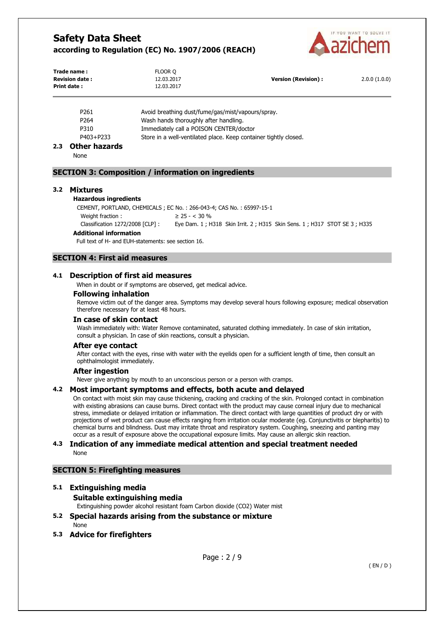

| Trade name:<br><b>Revision date:</b><br><b>Print date:</b> | FLOOR Q<br>12.03.2017<br>12.03.2017 | <b>Version (Revision):</b> | 2.0.0(1.0.0) |
|------------------------------------------------------------|-------------------------------------|----------------------------|--------------|
|                                                            |                                     |                            |              |

| Avoid breathing dust/fume/gas/mist/vapours/spray.                |
|------------------------------------------------------------------|
| Wash hands thoroughly after handling.                            |
| Immediately call a POISON CENTER/doctor                          |
| Store in a well-ventilated place. Keep container tightly closed. |
|                                                                  |

# **2.3 Other hazards**

None

### **SECTION 3: Composition / information on ingredients**

#### **3.2 Mixtures**

#### **Hazardous ingredients**

CEMENT, PORTLAND, CHEMICALS ; EC No. : 266-043-4; CAS No. : 65997-15-1 Weight fraction :  $\geq 25 -  $30\%$$ Classification 1272/2008 [CLP] : Eye Dam. 1 ; H318 Skin Irrit. 2 ; H315 Skin Sens. 1 ; H317 STOT SE 3 ; H335

### **Additional information**

Full text of H- and EUH-statements: see section 16.

# **SECTION 4: First aid measures**

#### **4.1 Description of first aid measures**

When in doubt or if symptoms are observed, get medical advice.

#### **Following inhalation**

Remove victim out of the danger area. Symptoms may develop several hours following exposure; medical observation therefore necessary for at least 48 hours.

#### **In case of skin contact**

Wash immediately with: Water Remove contaminated, saturated clothing immediately. In case of skin irritation, consult a physician. In case of skin reactions, consult a physician.

#### **After eye contact**

After contact with the eyes, rinse with water with the eyelids open for a sufficient length of time, then consult an ophthalmologist immediately.

#### **After ingestion**

Never give anything by mouth to an unconscious person or a person with cramps.

#### **4.2 Most important symptoms and effects, both acute and delayed**

On contact with moist skin may cause thickening, cracking and cracking of the skin. Prolonged contact in combination with existing abrasions can cause burns. Direct contact with the product may cause corneal injury due to mechanical stress, immediate or delayed irritation or inflammation. The direct contact with large quantities of product dry or with projections of wet product can cause effects ranging from irritation ocular moderate (eg. Conjunctivitis or blepharitis) to chemical burns and blindness. Dust may irritate throat and respiratory system. Coughing, sneezing and panting may occur as a result of exposure above the occupational exposure limits. May cause an allergic skin reaction.

#### **4.3 Indication of any immediate medical attention and special treatment needed**  None

#### **SECTION 5: Firefighting measures**

# **5.1 Extinguishing media**

## **Suitable extinguishing media**

Extinguishing powder alcohol resistant foam Carbon dioxide (CO2) Water mist

## **5.2 Special hazards arising from the substance or mixture**

None

**5.3 Advice for firefighters**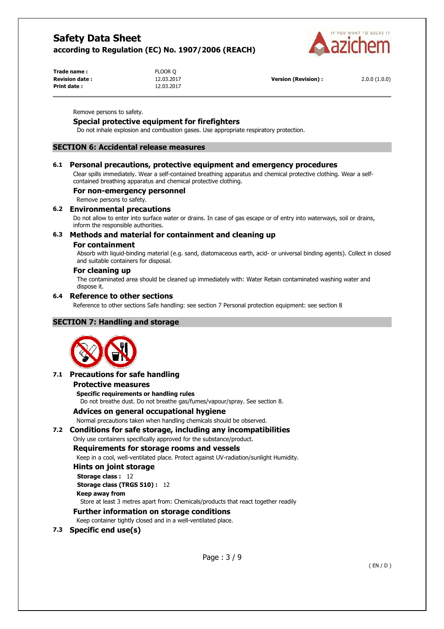

| Trade name:           | FLOOR Q    |                      |              |
|-----------------------|------------|----------------------|--------------|
| <b>Revision date:</b> | 12.03.2017 | Version (Revision) : | 2.0.0(1.0.0) |
| <b>Print date:</b>    | 12.03.2017 |                      |              |

Remove persons to safety.

# **Special protective equipment for firefighters**

Do not inhale explosion and combustion gases. Use appropriate respiratory protection.

## **SECTION 6: Accidental release measures**

### **6.1 Personal precautions, protective equipment and emergency procedures**

Clear spills immediately. Wear a self-contained breathing apparatus and chemical protective clothing. Wear a selfcontained breathing apparatus and chemical protective clothing.

#### **For non-emergency personnel**

Remove persons to safety.

### **6.2 Environmental precautions**

Do not allow to enter into surface water or drains. In case of gas escape or of entry into waterways, soil or drains, inform the responsible authorities.

### **6.3 Methods and material for containment and cleaning up**

#### **For containment**

Absorb with liquid-binding material (e.g. sand, diatomaceous earth, acid- or universal binding agents). Collect in closed and suitable containers for disposal.

### **For cleaning up**

The contaminated area should be cleaned up immediately with: Water Retain contaminated washing water and dispose it.

### **6.4 Reference to other sections**

Reference to other sections Safe handling: see section 7 Personal protection equipment: see section 8

## **SECTION 7: Handling and storage**



## **7.1 Precautions for safe handling**

#### **Protective measures**

**Specific requirements or handling rules** 

Do not breathe dust. Do not breathe gas/fumes/vapour/spray. See section 8.

#### **Advices on general occupational hygiene**

Normal precautions taken when handling chemicals should be observed.

## **7.2 Conditions for safe storage, including any incompatibilities**

# Only use containers specifically approved for the substance/product.

# **Requirements for storage rooms and vessels**

Keep in a cool, well-ventilated place. Protect against UV-radiation/sunlight Humidity.

# **Hints on joint storage**

**Storage class :** 12 **Storage class (TRGS 510) :** 12

**Keep away from** 

Store at least 3 metres apart from: Chemicals/products that react together readily

# **Further information on storage conditions**

Keep container tightly closed and in a well-ventilated place.

**7.3 Specific end use(s)**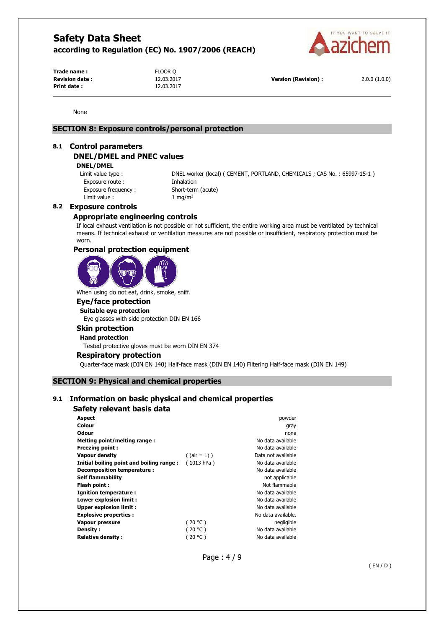

**Trade name :** FLOOR Q **Revision date :** 12.03.2017 **Version (Revision) :** 2.0.0 (1.0.0) **Print date :** 12.03.2017

None

# **SECTION 8: Exposure controls/personal protection**

#### **8.1 Control parameters**

### **DNEL/DMEL and PNEC values**

**DNEL/DMEL** 

Exposure route : Thhalation Exposure frequency : Short-term (acute) Limit value :  $1 \text{ mg/m}^3$ 

Limit value type : DNEL worker (local) ( CEMENT, PORTLAND, CHEMICALS ; CAS No. : 65997-15-1 )

#### **8.2 Exposure controls**

# **Appropriate engineering controls**

If local exhaust ventilation is not possible or not sufficient, the entire working area must be ventilated by technical means. If technical exhaust or ventilation measures are not possible or insufficient, respiratory protection must be worn.

#### **Personal protection equipment**



When using do not eat, drink, smoke, sniff.

# **Eye/face protection**

**Suitable eye protection**  Eye glasses with side protection DIN EN 166

#### **Skin protection**

**Hand protection** 

Tested protective gloves must be worn DIN EN 374

#### **Respiratory protection**

Quarter-face mask (DIN EN 140) Half-face mask (DIN EN 140) Filtering Half-face mask (DIN EN 149)

### **SECTION 9: Physical and chemical properties**

# **9.1 Information on basic physical and chemical properties**

### **Safety relevant basis data**

| <b>Aspect</b>                            |                 | powder             |
|------------------------------------------|-----------------|--------------------|
| Colour                                   |                 | gray               |
| <b>Odour</b>                             |                 | none               |
| Melting point/melting range:             |                 | No data available  |
| <b>Freezing point:</b>                   |                 | No data available  |
| <b>Vapour density</b>                    | $($ (air = 1) ) | Data not available |
| Initial boiling point and boiling range: | (1013 hPa)      | No data available  |
| Decomposition temperature :              |                 | No data available  |
| <b>Self flammability</b>                 |                 | not applicable     |
| Flash point:                             |                 | Not flammable      |
| <b>Ignition temperature:</b>             |                 | No data available  |
| Lower explosion limit :                  |                 | No data available  |
| Upper explosion limit:                   |                 | No data available  |
| <b>Explosive properties:</b>             |                 | No data available. |
| Vapour pressure                          | (20 °C)         | negligible         |
| Density:                                 | (20 °C)         | No data available  |
| <b>Relative density:</b>                 | (20 °C )        | No data available  |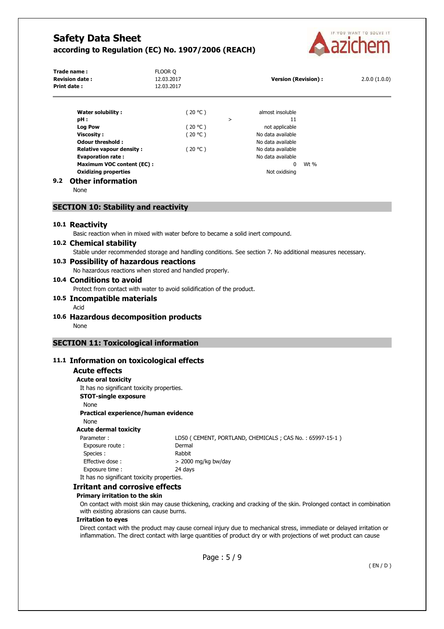

|     | Trade name:<br><b>Revision date:</b><br>Print date: | FLOOR Q<br>12.03.2017<br>12.03.2017 |   | <b>Version (Revision):</b> |      | 2.0.0(1.0.0) |
|-----|-----------------------------------------------------|-------------------------------------|---|----------------------------|------|--------------|
|     | Water solubility:                                   | (20 °C )                            |   | almost insoluble           |      |              |
|     | pH:                                                 |                                     | > | 11                         |      |              |
|     | <b>Log Pow</b>                                      | (20 °C )                            |   | not applicable             |      |              |
|     | Viscosity:                                          | (20 °C )                            |   | No data available          |      |              |
|     | <b>Odour threshold:</b>                             |                                     |   | No data available          |      |              |
|     | <b>Relative vapour density:</b>                     | (20 °C )                            |   | No data available          |      |              |
|     | <b>Evaporation rate:</b>                            |                                     |   | No data available          |      |              |
|     | <b>Maximum VOC content (EC):</b>                    |                                     |   | 0                          | Wt % |              |
|     | <b>Oxidizing properties</b>                         |                                     |   | Not oxidising              |      |              |
| 9.2 | <b>Other information</b>                            |                                     |   |                            |      |              |

None

#### **SECTION 10: Stability and reactivity**

#### **10.1 Reactivity**

Basic reaction when in mixed with water before to became a solid inert compound.

## **10.2 Chemical stability**

Stable under recommended storage and handling conditions. See section 7. No additional measures necessary.

#### **10.3 Possibility of hazardous reactions**  No hazardous reactions when stored and handled properly.

# **10.4 Conditions to avoid**

Protect from contact with water to avoid solidification of the product.

- **10.5 Incompatible materials** 
	- Acid
- **10.6 Hazardous decomposition products**  None

# **SECTION 11: Toxicological information**

### **11.1 Information on toxicological effects**

### **Acute effects**

**Acute oral toxicity**  It has no significant toxicity properties. **STOT-single exposure**  None **Practical experience/human evidence**  None **Acute dermal toxicity**  Parameter : LD50 ( CEMENT, PORTLAND, CHEMICALS ; CAS No. : 65997-15-1 ) Exposure route : Dermal Species : Rabbit

Effective dose :  $> 2000$  mg/kg bw/day Exposure time : 24 days

#### It has no significant toxicity properties. **Irritant and corrosive effects**

# **Primary irritation to the skin**

On contact with moist skin may cause thickening, cracking and cracking of the skin. Prolonged contact in combination with existing abrasions can cause burns.

#### **Irritation to eyes**

Direct contact with the product may cause corneal injury due to mechanical stress, immediate or delayed irritation or inflammation. The direct contact with large quantities of product dry or with projections of wet product can cause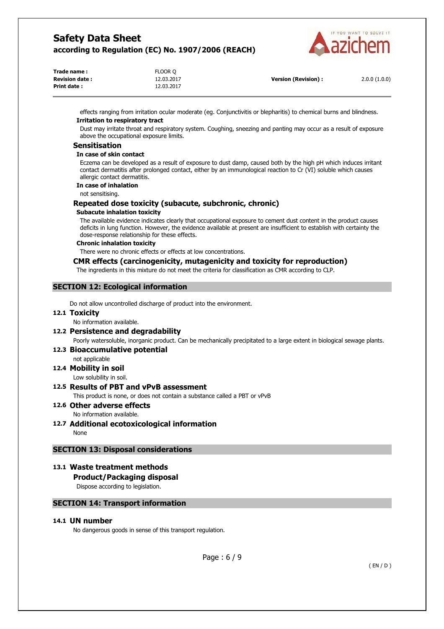

| Trade name:           | FLOOR Q    |                      |              |
|-----------------------|------------|----------------------|--------------|
| <b>Revision date:</b> | 12.03.2017 | Version (Revision) : | 2.0.0(1.0.0) |
| Print date:           | 12.03.2017 |                      |              |

effects ranging from irritation ocular moderate (eg. Conjunctivitis or blepharitis) to chemical burns and blindness. **Irritation to respiratory tract** 

Dust may irritate throat and respiratory system. Coughing, sneezing and panting may occur as a result of exposure above the occupational exposure limits.

### **Sensitisation**

#### **In case of skin contact**

Eczema can be developed as a result of exposure to dust damp, caused both by the high pH which induces irritant contact dermatitis after prolonged contact, either by an immunological reaction to Cr (VI) soluble which causes allergic contact dermatitis.

#### **In case of inhalation**

not sensitising.

# **Repeated dose toxicity (subacute, subchronic, chronic)**

### **Subacute inhalation toxicity**

The available evidence indicates clearly that occupational exposure to cement dust content in the product causes deficits in lung function. However, the evidence available at present are insufficient to establish with certainty the dose-response relationship for these effects.

#### **Chronic inhalation toxicity**

There were no chronic effects or effects at low concentrations.

## **CMR effects (carcinogenicity, mutagenicity and toxicity for reproduction)**

The ingredients in this mixture do not meet the criteria for classification as CMR according to CLP.

# **SECTION 12: Ecological information**

Do not allow uncontrolled discharge of product into the environment.

### **12.1 Toxicity**

No information available.

# **12.2 Persistence and degradability**

Poorly watersoluble, inorganic product. Can be mechanically precipitated to a large extent in biological sewage plants.

### **12.3 Bioaccumulative potential**

not applicable

**12.4 Mobility in soil** 

#### Low solubility in soil.

# **12.5 Results of PBT and vPvB assessment**

This product is none, or does not contain a substance called a PBT or vPvB

#### **12.6 Other adverse effects**  No information available.

**12.7 Additional ecotoxicological information**  None

# **SECTION 13: Disposal considerations**

# **13.1 Waste treatment methods**

# **Product/Packaging disposal**

Dispose according to legislation.

## **SECTION 14: Transport information**

## **14.1 UN number**

No dangerous goods in sense of this transport regulation.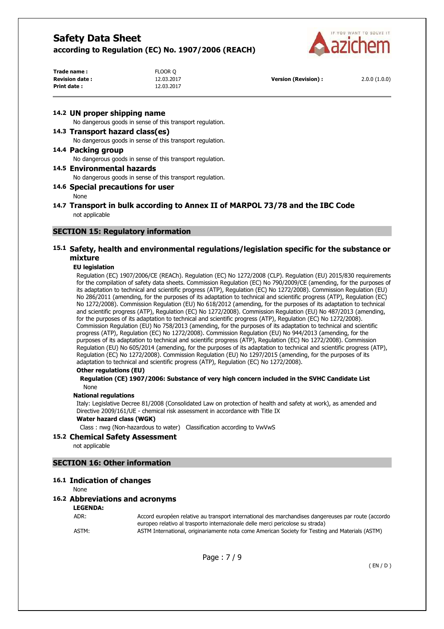

| Trade name:           | FLOOR Q    |                      |              |
|-----------------------|------------|----------------------|--------------|
| <b>Revision date:</b> | 12.03.2017 | Version (Revision) : | 2.0.0(1.0.0) |
| Print date:           | 12.03.2017 |                      |              |

### **14.2 UN proper shipping name**

No dangerous goods in sense of this transport regulation.

#### **14.3 Transport hazard class(es)**

No dangerous goods in sense of this transport regulation.

#### **14.4 Packing group**

No dangerous goods in sense of this transport regulation.

#### **14.5 Environmental hazards**

No dangerous goods in sense of this transport regulation.

### **14.6 Special precautions for user**

None

### **14.7 Transport in bulk according to Annex II of MARPOL 73/78 and the IBC Code**  not applicable

## **SECTION 15: Regulatory information**

## **15.1 Safety, health and environmental regulations/legislation specific for the substance or mixture**

#### **EU legislation**

Regulation (EC) 1907/2006/CE (REACh). Regulation (EC) No 1272/2008 (CLP). Regulation (EU) 2015/830 requirements for the compilation of safety data sheets. Commission Regulation (EC) No 790/2009/CE (amending, for the purposes of its adaptation to technical and scientific progress (ATP), Regulation (EC) No 1272/2008). Commission Regulation (EU) No 286/2011 (amending, for the purposes of its adaptation to technical and scientific progress (ATP), Regulation (EC) No 1272/2008). Commission Regulation (EU) No 618/2012 (amending, for the purposes of its adaptation to technical and scientific progress (ATP), Regulation (EC) No 1272/2008). Commission Regulation (EU) No 487/2013 (amending, for the purposes of its adaptation to technical and scientific progress (ATP), Regulation (EC) No 1272/2008). Commission Regulation (EU) No 758/2013 (amending, for the purposes of its adaptation to technical and scientific progress (ATP), Regulation (EC) No 1272/2008). Commission Regulation (EU) No 944/2013 (amending, for the purposes of its adaptation to technical and scientific progress (ATP), Regulation (EC) No 1272/2008). Commission Regulation (EU) No 605/2014 (amending, for the purposes of its adaptation to technical and scientific progress (ATP), Regulation (EC) No 1272/2008). Commission Regulation (EU) No 1297/2015 (amending, for the purposes of its adaptation to technical and scientific progress (ATP), Regulation (EC) No 1272/2008).

#### **Other regulations (EU)**

#### **Regulation (CE) 1907/2006: Substance of very high concern included in the SVHC Candidate List**  None

#### **National regulations**

Italy: Legislative Decree 81/2008 (Consolidated Law on protection of health and safety at work), as amended and Directive 2009/161/UE - chemical risk assessment in accordance with Title IX

#### **Water hazard class (WGK)**

Class : nwg (Non-hazardous to water) Classification according to VwVwS

#### **15.2 Chemical Safety Assessment**

not applicable

#### **SECTION 16: Other information**

### **16.1 Indication of changes**

None

#### **16.2 Abbreviations and acronyms**

**LEGENDA:**

ADR: Accord européen relative au transport international des marchandises dangereuses par route (accordo europeo relativo al trasporto internazionale delle merci pericolose su strada) ASTM: ASTM International, originariamente nota come American Society for Testing and Materials (ASTM)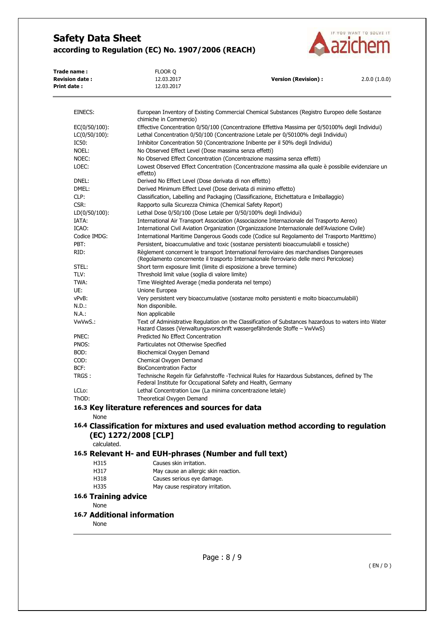

| Trade name:<br><b>Revision date:</b><br><b>Print date:</b> | FLOOR O<br>12.03.2017<br>12.03.2017                                             | <b>Version (Revision):</b>                                                                       | 2.0.0(1.0.0) |  |
|------------------------------------------------------------|---------------------------------------------------------------------------------|--------------------------------------------------------------------------------------------------|--------------|--|
| EINECS:                                                    |                                                                                 | European Inventory of Existing Commercial Chemical Substances (Registro Europeo delle Sostanze   |              |  |
|                                                            | chimiche in Commercio)                                                          |                                                                                                  |              |  |
| $EC(0/50/100)$ :                                           |                                                                                 | Effective Concentration 0/50/100 (Concentrazione Effettiva Massima per 0/50100% degli Individui) |              |  |
| $LC(0/50/100)$ :                                           |                                                                                 | Lethal Concentration 0/50/100 (Concentrazione Letale per 0/50100% degli Individui)               |              |  |
| IC50:                                                      | Inhibitor Concentration 50 (Concentrazione Inibente per il 50% degli Individui) |                                                                                                  |              |  |
| NOEL:                                                      | No Observed Effect Level (Dose massima senza effetti)                           |                                                                                                  |              |  |
| NOEC:                                                      |                                                                                 | No Observed Effect Concentration (Concentrazione massima senza effetti)                          |              |  |
| $  -$                                                      |                                                                                 |                                                                                                  |              |  |

| LOEC:              | Lowest Observed Effect Concentration (Concentrazione massima alla quale è possibile evidenziare un<br>effetto)                                                                       |
|--------------------|--------------------------------------------------------------------------------------------------------------------------------------------------------------------------------------|
| DNEL:              | Derived No Effect Level (Dose derivata di non effetto)                                                                                                                               |
| DMEL:              | Derived Minimum Effect Level (Dose derivata di minimo effetto)                                                                                                                       |
| CLP:               | Classification, Labelling and Packaging (Classificazione, Etichettatura e Imballaggio)                                                                                               |
| CSR:               | Rapporto sulla Sicurezza Chimica (Chemical Safety Report)                                                                                                                            |
| LD(0/50/100):      | Lethal Dose 0/50/100 (Dose Letale per 0/50/100% degli Individui)                                                                                                                     |
| IATA:              | International Air Transport Association (Associazione Internazionale del Trasporto Aereo)                                                                                            |
| ICAO:              | International Civil Aviation Organization (Organizzazione Internazionale dell'Aviazione Civile)                                                                                      |
| Codice IMDG:       | International Maritime Dangerous Goods code (Codice sul Regolamento del Trasporto Marittimo)                                                                                         |
| PBT:               | Persistent, bioaccumulative and toxic (sostanze persistenti bioaccumulabili e tossiche)                                                                                              |
| RID:               | Règlement concernent le transport International ferroviaire des marchandises Dangereuses<br>(Regolamento concernente il trasporto Internazionale ferroviario delle merci Pericolose) |
| STEL:              | Short term exposure limit (limite di esposizione a breve termine)                                                                                                                    |
| TLV:               | Threshold limit value (soglia di valore limite)                                                                                                                                      |
| TWA:               | Time Weighted Average (media ponderata nel tempo)                                                                                                                                    |
| UE:                | Unione Europea                                                                                                                                                                       |
| vPvB:              | Very persistent very bioaccumulative (sostanze molto persistenti e molto bioaccumulabili)                                                                                            |
| N.D.:              | Non disponibile.                                                                                                                                                                     |
| N.A.:              | Non applicabile                                                                                                                                                                      |
| VwVwS.:            | Text of Administrative Regulation on the Classification of Substances hazardous to waters into Water<br>Hazard Classes (Verwaltungsvorschrift wassergefährdende Stoffe – VwVwS)      |
| PNEC:              | Predicted No Effect Concentration                                                                                                                                                    |
| PNOS:              | Particulates not Otherwise Specified                                                                                                                                                 |
| BOD:               | Biochemical Oxygen Demand                                                                                                                                                            |
| COD:               | Chemical Oxygen Demand                                                                                                                                                               |
| BCF:               | <b>BioConcentration Factor</b>                                                                                                                                                       |
| TRGS:              | Technische Regeln für Gefahrstoffe -Technical Rules for Hazardous Substances, defined by The<br>Federal Institute for Occupational Safety and Health, Germany                        |
| LCL <sub>o</sub> : | Lethal Concentration Low (La minima concentrazione letale)                                                                                                                           |
| ThOD:              | Theoretical Oxygen Demand                                                                                                                                                            |

# **16.3 Key literature references and sources for data**

None

# **16.4 Classification for mixtures and used evaluation method according to regulation (EC) 1272/2008 [CLP]**

calculated.

# **16.5 Relevant H- and EUH-phrases (Number and full text)**

- H315 Causes skin irritation.
- H317 May cause an allergic skin reaction.
- H318 Causes serious eye damage.
- H335 May cause respiratory irritation.

# **16.6 Training advice**

None

# **16.7 Additional information**

None